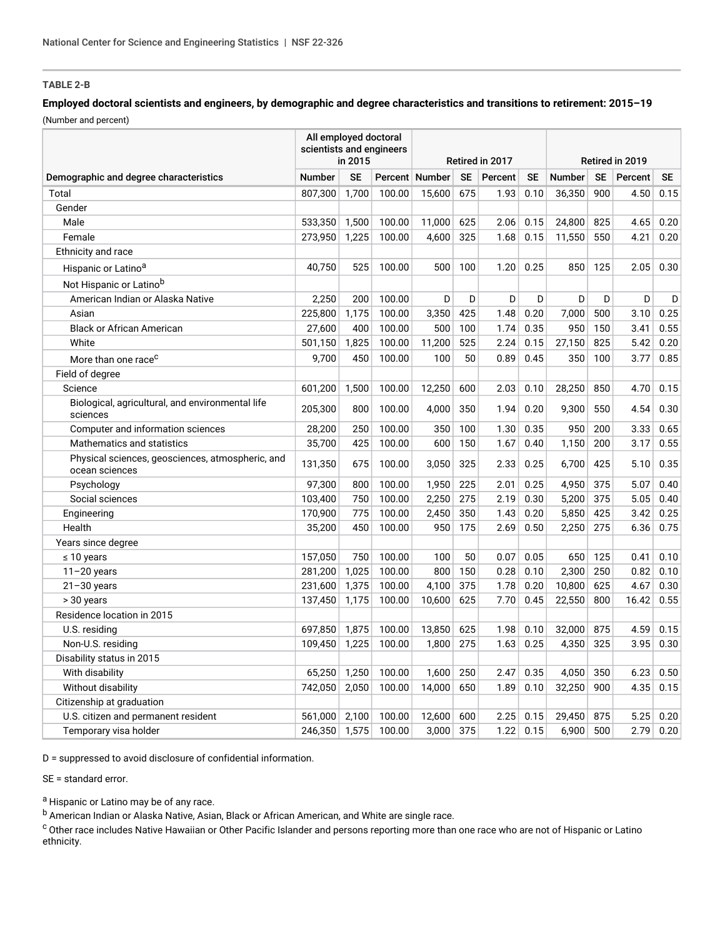## **TABLE 2-B**

## **Employed doctoral scientists and engineers, by demographic and degree characteristics and transitions to retirement: 2015–19** (Number and percent)

Demographic and degree characteristics All employed doctoral scientists and engineers in 2015 Retired in 2017 Retired in 2019 Number SE Percent Number SE Percent SE Number SE Percent SE Total 807,300 1,700 100.00 15,600 675 1.93 0.10 36,350 900 4.50 0.15 Gender Male 533,350 1,500 100.00 11,000 625 2.06 0.15 24,800 825 4.65 0.20 Female 273,950 1,225 100.00 4,600 325 1.68 0.15 11,550 550 4.21 0.20 Ethnicity and race Hispanic or Latino<sup>a</sup> 2.05 2.05 40,750 525 100.00 500 100 1.20 0.25 850 125 2.05 0.30 Not Hispanic or Latino<sup>b</sup> American Indian or Alaska Native 2,250 200 100.00 D D D D D D D D Asian 225,800 1,175 100.00 3,350 425 1.48 0.20 7,000 500 3.10 0.25 Black or African American 27,600 400 100.00 500 100 1.74 0.35 950 150 3.41 0.55 White 501,150 1,825 100.00 11,200 525 2.24 0.15 27,150 825 5.42 0.20 More than one race<sup>c</sup> example than one race<sup>c</sup> and the set of the set of the set of the set of the set of the set of the set of the set of the set of the set of the set of the set of the set of the set of the set of the se Field of degree Science 601,200 1,500 100.00 12,250 600 2.03 0.10 28,250 850 4.70 0.15 Biological, agricultural, and environmental life sciences 205,300 800 100.00 4,000 350 1.94 0.20 9,300 550 4.54 0.30 Computer and information sciences 28,200 250 100.00 350 100 1.30 0.35 950 200 3.33 0.65 Mathematics and statistics **35,700** 425 100.00 600 150 1.67 0.40 1,150 200 3.17 0.55 Physical sciences, geosciences, atmospheric, and ocean sciences 131,350 <sup>675</sup> 100.00 3,050 <sup>325</sup> 2.33 0.25 6,700 <sup>425</sup> 5.10 0.35 Psychology 97,300 800 100.00 1,950 225 2.01 0.25 4,950 375 5.07 0.40 Social sciences 103,400 750 100.00 2,250 275 2.19 0.30 5,200 375 5.05 0.40 Engineering 170,900 775 100.00 2,450 350 1.43 0.20 5,850 425 3.42 0.25 Health 35,200 450 100.00 950 175 2.69 0.50 2,250 275 6.36 0.75 Years since degree ≤ 10 years 157,050 750 100.00 100 50 0.07 0.05 650 125 0.41 0.10 11–20 years 281,200 1,025 100.00 800 150 0.28 0.10 2,300 250 0.82 0.10 21–30 years 231,600 1,375 100.00 4,100 375 1.78 0.20 10,800 625 4.67 0.30 > 30 years 137,450 1,175 100.00 10,600 625 7.70 0.45 22,550 800 16.42 0.55 Residence location in 2015 U.S. residing 697,850 1,875 100.00 13,850 625 1.98 0.10 32,000 875 4.59 0.15 Non-U.S. residing 109,450 1,225 100.00 1,800 275 1.63 0.25 4,350 325 3.95 0.30 Disability status in 2015 With disability 65,250 | 1,250 | 100.00 | 1,600 | 250 | 2.47 | 0.35 | 4,050 | 350 | 6.23 | 0.50 Without disability 742,050 2,050 100.00 14,000 650 1.89 0.10 32,250 900 4.35 0.15 Citizenship at graduation U.S. citizen and permanent resident 561,000 2,100 100.00 12,600 600 2.25 0.15 29,450 875 5.25 0.20 Temporary visa holder 246,350 1,575 100.00 3,000 375 1.22 0.15 6,900 500 2.79 0.20

D = suppressed to avoid disclosure of confidential information.

SE = standard error.

a Hispanic or Latino may be of any race.

<sup>b</sup> American Indian or Alaska Native, Asian, Black or African American, and White are single race.

<sup>c</sup> Other race includes Native Hawaiian or Other Pacific Islander and persons reporting more than one race who are not of Hispanic or Latino ethnicity.